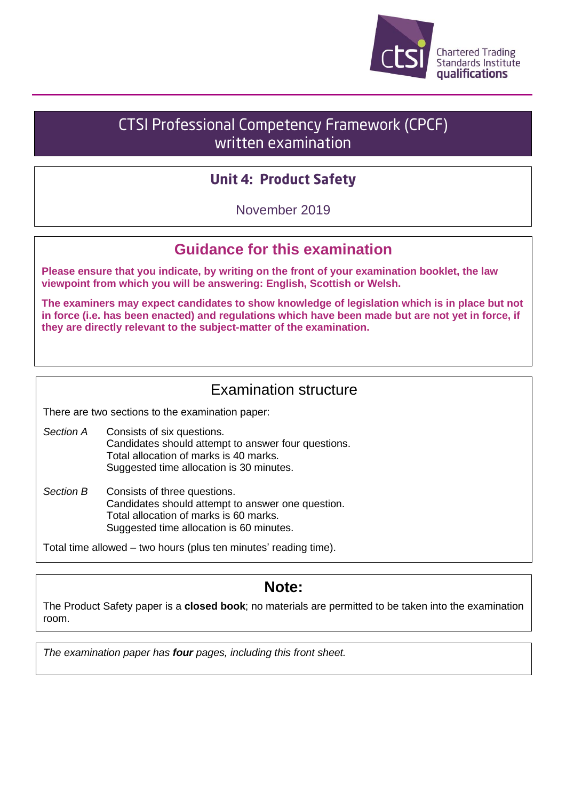

# **CTSI Professional Competency Framework (CPCF)** written examination

### **Unit 4: Product Safety**

November 2019

# **Guidance for this examination**

**Please ensure that you indicate, by writing on the front of your examination booklet, the law viewpoint from which you will be answering: English, Scottish or Welsh.**

**The examiners may expect candidates to show knowledge of legislation which is in place but not in force (i.e. has been enacted) and regulations which have been made but are not yet in force, if they are directly relevant to the subject-matter of the examination.**

# Examination structure

There are two sections to the examination paper:

- *Section A* Consists of six questions. Candidates should attempt to answer four questions. Total allocation of marks is 40 marks. Suggested time allocation is 30 minutes.
- *Section B* Consists of three questions. Candidates should attempt to answer one question. Total allocation of marks is 60 marks. Suggested time allocation is 60 minutes.

Total time allowed – two hours (plus ten minutes' reading time).

### **Note:**

The Product Safety paper is a **closed book**; no materials are permitted to be taken into the examination room.

*The examination paper has four pages, including this front sheet.*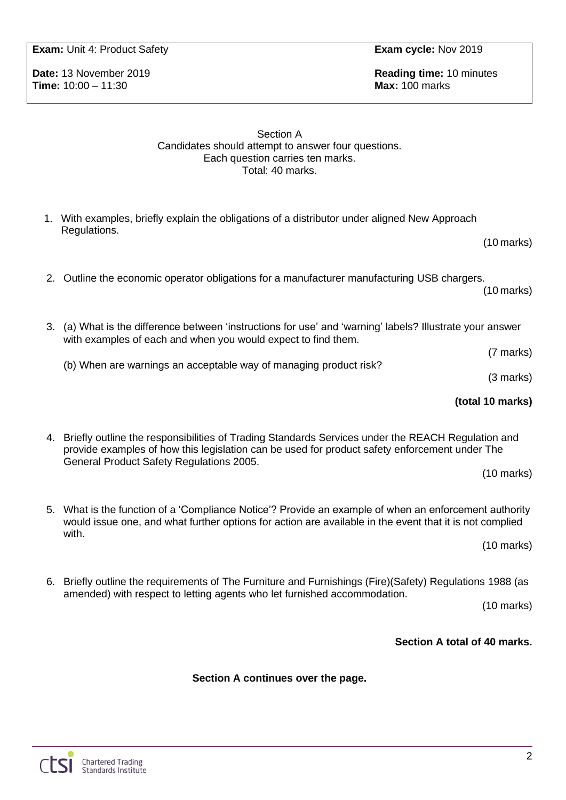**Exam:** Unit 4: Product Safety **Exam cycle:** Nov 2019

**Time:** 10:00 – 11:30 **Max:** 100 marks

**Date:** 13 November 2019 **Reading time:** 10 minutes

#### Section A Candidates should attempt to answer four questions. Each question carries ten marks. Total: 40 marks.

- 1. With examples, briefly explain the obligations of a distributor under aligned New Approach Regulations.
- 2. Outline the economic operator obligations for a manufacturer manufacturing USB chargers.

(10 marks)

(7 marks)

(3 marks)

**(total 10 marks)**

(10 marks)

- 3. (a) What is the difference between 'instructions for use' and 'warning' labels? Illustrate your answer with examples of each and when you would expect to find them.
	- (b) When are warnings an acceptable way of managing product risk?

4. Briefly outline the responsibilities of Trading Standards Services under the REACH Regulation and provide examples of how this legislation can be used for product safety enforcement under The General Product Safety Regulations 2005.

(10 marks)

5. What is the function of a 'Compliance Notice'? Provide an example of when an enforcement authority would issue one, and what further options for action are available in the event that it is not complied with.

(10 marks)

6. Briefly outline the requirements of The Furniture and Furnishings (Fire)(Safety) Regulations 1988 (as amended) with respect to letting agents who let furnished accommodation.

(10 marks)

### **Section A total of 40 marks.**

### **Section A continues over the page.**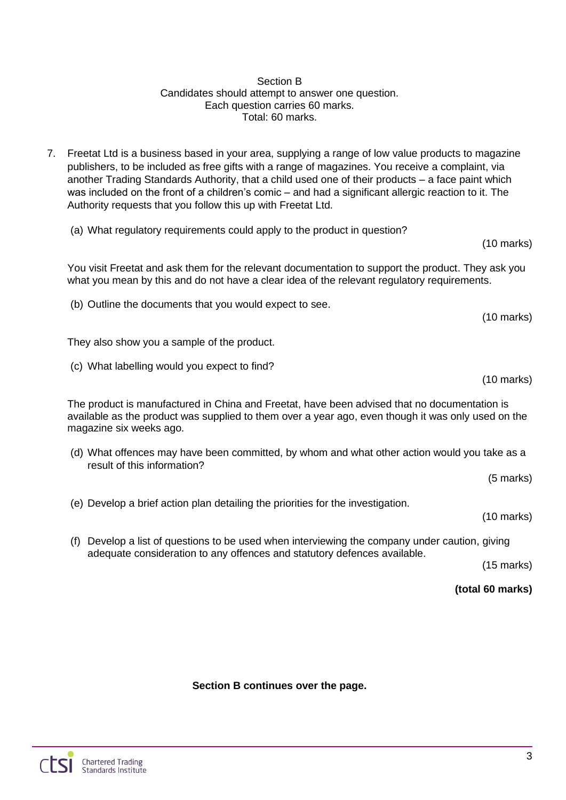#### Section B Candidates should attempt to answer one question. Each question carries 60 marks. Total: 60 marks.

- 7. Freetat Ltd is a business based in your area, supplying a range of low value products to magazine publishers, to be included as free gifts with a range of magazines. You receive a complaint, via another Trading Standards Authority, that a child used one of their products – a face paint which was included on the front of a children's comic – and had a significant allergic reaction to it. The Authority requests that you follow this up with Freetat Ltd.
	- (a) What regulatory requirements could apply to the product in question?

You visit Freetat and ask them for the relevant documentation to support the product. They ask you what you mean by this and do not have a clear idea of the relevant regulatory requirements.

(b) Outline the documents that you would expect to see.

They also show you a sample of the product.

(c) What labelling would you expect to find?

The product is manufactured in China and Freetat, have been advised that no documentation is available as the product was supplied to them over a year ago, even though it was only used on the magazine six weeks ago.

(d) What offences may have been committed, by whom and what other action would you take as a result of this information?

(5 marks)

(e) Develop a brief action plan detailing the priorities for the investigation.

(10 marks)

(f) Develop a list of questions to be used when interviewing the company under caution, giving adequate consideration to any offences and statutory defences available.

(15 marks)

**(total 60 marks)**

**Section B continues over the page.**

(10 marks)

(10 marks)

(10 marks)